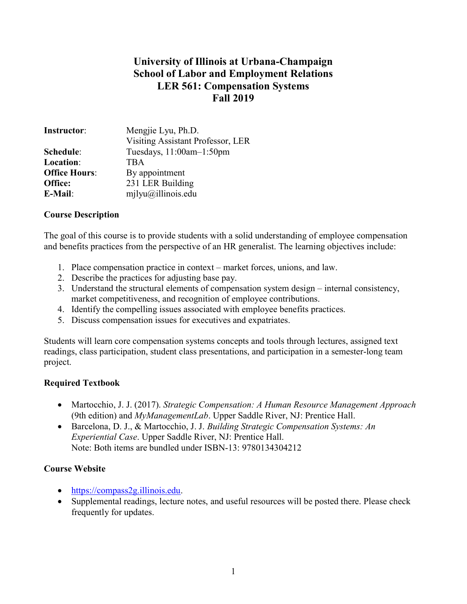# University of Illinois at Urbana-Champaign School of Labor and Employment Relations LER 561: Compensation Systems Fall 2019

| <b>Instructor:</b>   | Mengjie Lyu, Ph.D.                |
|----------------------|-----------------------------------|
|                      | Visiting Assistant Professor, LER |
| Schedule:            | Tuesdays, 11:00am-1:50pm          |
| Location:            | <b>TBA</b>                        |
| <b>Office Hours:</b> | By appointment                    |
| Office:              | 231 LER Building                  |
| <b>E-Mail:</b>       | mjlyu@illinois.edu                |

#### Course Description

The goal of this course is to provide students with a solid understanding of employee compensation and benefits practices from the perspective of an HR generalist. The learning objectives include:

- 1. Place compensation practice in context market forces, unions, and law.
- 2. Describe the practices for adjusting base pay.
- 3. Understand the structural elements of compensation system design internal consistency, market competitiveness, and recognition of employee contributions.
- 4. Identify the compelling issues associated with employee benefits practices.
- 5. Discuss compensation issues for executives and expatriates.

Students will learn core compensation systems concepts and tools through lectures, assigned text readings, class participation, student class presentations, and participation in a semester-long team project.

## Required Textbook

- Martocchio, J. J. (2017). Strategic Compensation: A Human Resource Management Approach (9th edition) and MyManagementLab. Upper Saddle River, NJ: Prentice Hall.
- Barcelona, D. J., & Martocchio, J. J. Building Strategic Compensation Systems: An Experiential Case. Upper Saddle River, NJ: Prentice Hall. Note: Both items are bundled under ISBN-13: 9780134304212

## Course Website

- https://compass2g.illinois.edu.
- Supplemental readings, lecture notes, and useful resources will be posted there. Please check frequently for updates.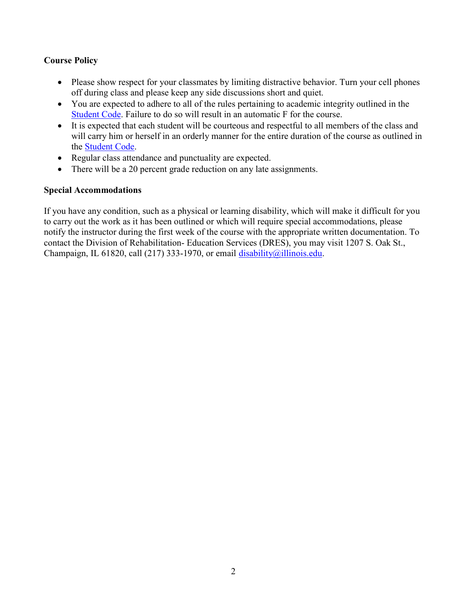## Course Policy

- Please show respect for your classmates by limiting distractive behavior. Turn your cell phones off during class and please keep any side discussions short and quiet.
- You are expected to adhere to all of the rules pertaining to academic integrity outlined in the Student Code. Failure to do so will result in an automatic F for the course.
- It is expected that each student will be courteous and respectful to all members of the class and will carry him or herself in an orderly manner for the entire duration of the course as outlined in the Student Code.
- Regular class attendance and punctuality are expected.
- There will be a 20 percent grade reduction on any late assignments.

## Special Accommodations

If you have any condition, such as a physical or learning disability, which will make it difficult for you to carry out the work as it has been outlined or which will require special accommodations, please notify the instructor during the first week of the course with the appropriate written documentation. To contact the Division of Rehabilitation- Education Services (DRES), you may visit 1207 S. Oak St., Champaign, IL 61820, call (217) 333-1970, or email disability@illinois.edu.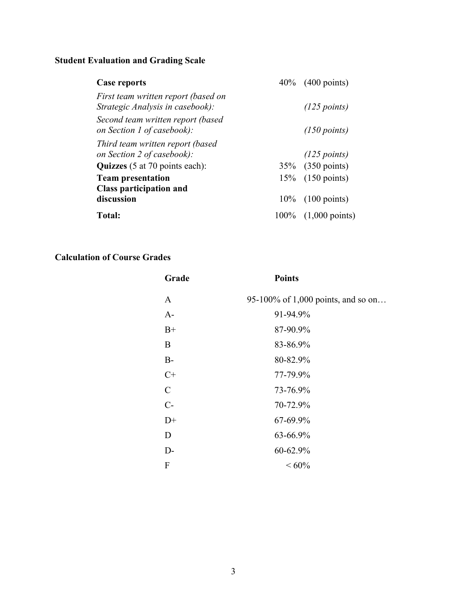# Student Evaluation and Grading Scale

| <b>Case reports</b>                                                     | 40\% (400 points)                |
|-------------------------------------------------------------------------|----------------------------------|
| First team written report (based on<br>Strategic Analysis in casebook): | $(125$ points)                   |
| Second team written report (based                                       |                                  |
| on Section 1 of casebook):                                              | $(150$ points)                   |
| Third team written report (based                                        |                                  |
| on Section 2 of casebook):                                              | $(125$ points)                   |
| <b>Quizzes</b> (5 at 70 points each):                                   | 35% (350 points)                 |
| <b>Team presentation</b>                                                | $15\%$ (150 points)              |
| <b>Class participation and</b>                                          |                                  |
| discussion                                                              | $10\%$ (100 points)              |
| <b>Total:</b>                                                           | $100\%$ $(1,000 \text{ points})$ |

# Calculation of Course Grades

| Grade        | <b>Points</b>                      |
|--------------|------------------------------------|
| $\mathbf{A}$ | 95-100% of 1,000 points, and so on |
| $A-$         | 91-94.9%                           |
| $B+$         | 87-90.9%                           |
| B            | 83-86.9%                           |
| $B-$         | 80-82.9%                           |
| $C+$         | 77-79.9%                           |
| $\mathbf C$  | 73-76.9%                           |
| $C-$         | 70-72.9%                           |
| $D+$         | 67-69.9%                           |
| D            | 63-66.9%                           |
| $D-$         | 60-62.9%                           |
| F            | ${}<60\%$                          |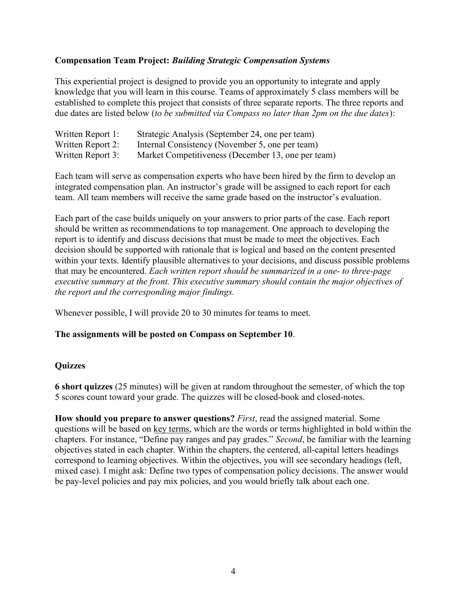#### Compensation Team Project: Building Strategic Compensation Systems

This experiential project is designed to provide you an opportunity to integrate and apply knowledge that you will learn in this course. Teams of approximately 5 class members will be established to complete this project that consists of three separate reports. The three reports and due dates are listed below (to be submitted via Compass no later than 2pm on the due dates):

| Written Report 1: | Strategic Analysis (September 24, one per team)    |
|-------------------|----------------------------------------------------|
| Written Report 2: | Internal Consistency (November 5, one per team)    |
| Written Report 3: | Market Competitiveness (December 13, one per team) |

Each team will serve as compensation experts who have been hired by the firm to develop an integrated compensation plan. An instructor's grade will be assigned to each report for each team. All team members will receive the same grade based on the instructor's evaluation.

Each part of the case builds uniquely on your answers to prior parts of the case. Each report should be written as recommendations to top management. One approach to developing the report is to identify and discuss decisions that must be made to meet the objectives. Each decision should be supported with rationale that is logical and based on the content presented within your texts. Identify plausible alternatives to your decisions, and discuss possible problems that may be encountered. Each written report should be summarized in a one- to three-page executive summary at the front. This executive summary should contain the major objectives of the report and the corresponding major findings.

Whenever possible, I will provide 20 to 30 minutes for teams to meet.

#### The assignments will be posted on Compass on September 10.

#### **Ouizzes**

6 short quizzes (25 minutes) will be given at random throughout the semester, of which the top 5 scores count toward your grade. The quizzes will be closed-book and closed-notes.

How should you prepare to answer questions? First, read the assigned material. Some questions will be based on key terms, which are the words or terms highlighted in bold within the chapters. For instance, "Define pay ranges and pay grades." Second, be familiar with the learning objectives stated in each chapter. Within the chapters, the centered, all-capital letters headings correspond to learning objectives. Within the objectives, you will see secondary headings (left, mixed case). I might ask: Define two types of compensation policy decisions. The answer would be pay-level policies and pay mix policies, and you would briefly talk about each one.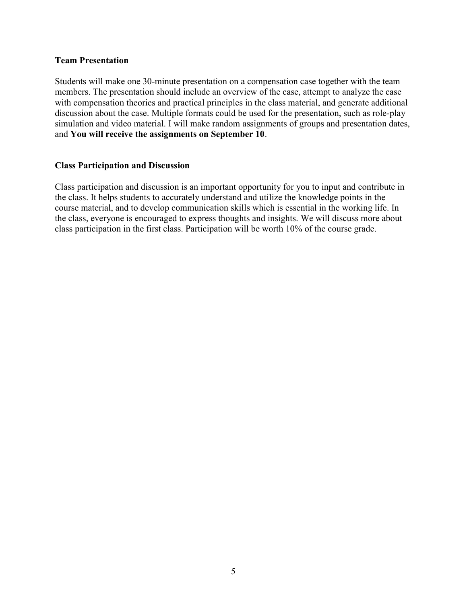#### Team Presentation

Students will make one 30-minute presentation on a compensation case together with the team members. The presentation should include an overview of the case, attempt to analyze the case with compensation theories and practical principles in the class material, and generate additional discussion about the case. Multiple formats could be used for the presentation, such as role-play simulation and video material. I will make random assignments of groups and presentation dates, and You will receive the assignments on September 10.

#### Class Participation and Discussion

Class participation and discussion is an important opportunity for you to input and contribute in the class. It helps students to accurately understand and utilize the knowledge points in the course material, and to develop communication skills which is essential in the working life. In the class, everyone is encouraged to express thoughts and insights. We will discuss more about class participation in the first class. Participation will be worth 10% of the course grade.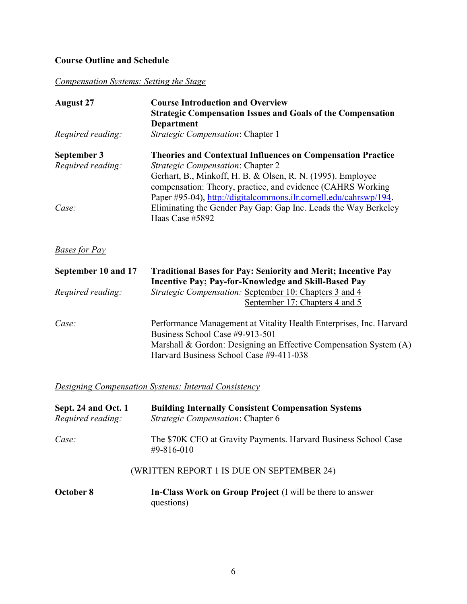# Course Outline and Schedule

Compensation Systems: Setting the Stage

| <b>August 27</b>  | <b>Course Introduction and Overview</b><br><b>Strategic Compensation Issues and Goals of the Compensation</b><br><b>Department</b> |
|-------------------|------------------------------------------------------------------------------------------------------------------------------------|
| Required reading: | Strategic Compensation: Chapter 1                                                                                                  |
| September 3       | <b>Theories and Contextual Influences on Compensation Practice</b>                                                                 |
| Required reading: | <i>Strategic Compensation: Chapter 2</i>                                                                                           |
|                   | Gerhart, B., Minkoff, H. B. & Olsen, R. N. (1995). Employee                                                                        |
|                   | compensation: Theory, practice, and evidence (CAHRS Working                                                                        |
|                   | Paper #95-04), http://digitalcommons.ilr.cornell.edu/cahrswp/194.                                                                  |
| Case:             | Eliminating the Gender Pay Gap: Gap Inc. Leads the Way Berkeley                                                                    |
|                   | Haas Case #5892                                                                                                                    |

Bases for Pay

| September 10 and 17 | <b>Traditional Bases for Pay: Seniority and Merit; Incentive Pay</b><br><b>Incentive Pay; Pay-for-Knowledge and Skill-Based Pay</b>                                                                                    |
|---------------------|------------------------------------------------------------------------------------------------------------------------------------------------------------------------------------------------------------------------|
| Required reading:   | <i>Strategic Compensation:</i> September 10: Chapters 3 and 4                                                                                                                                                          |
|                     | September 17: Chapters 4 and 5                                                                                                                                                                                         |
| Case:               | Performance Management at Vitality Health Enterprises, Inc. Harvard<br>Business School Case #9-913-501<br>Marshall & Gordon: Designing an Effective Compensation System (A)<br>Harvard Business School Case #9-411-038 |

**Designing Compensation Systems: Internal Consistency** 

| Sept. 24 and Oct. 1<br>Required reading: | <b>Building Internally Consistent Compensation Systems</b><br>Strategic Compensation: Chapter 6 |
|------------------------------------------|-------------------------------------------------------------------------------------------------|
| Case:                                    | The \$70K CEO at Gravity Payments. Harvard Business School Case<br>#9-816-010                   |
|                                          | (WRITTEN REPORT 1 IS DUE ON SEPTEMBER 24)                                                       |
| October 8                                | In-Class Work on Group Project (I will be there to answer<br>questions)                         |